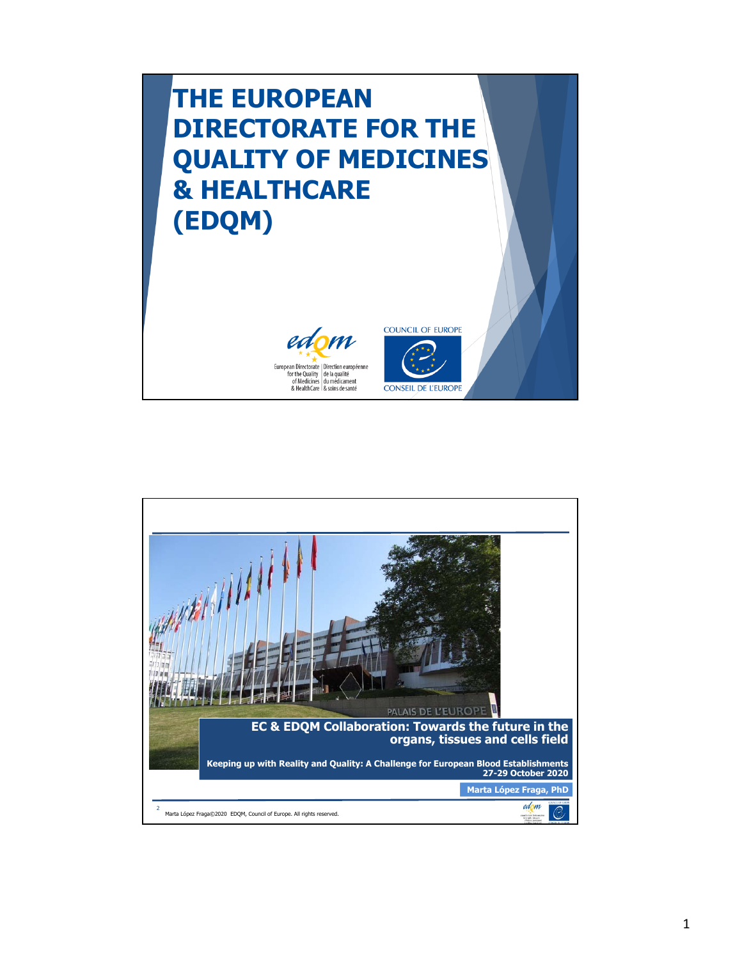

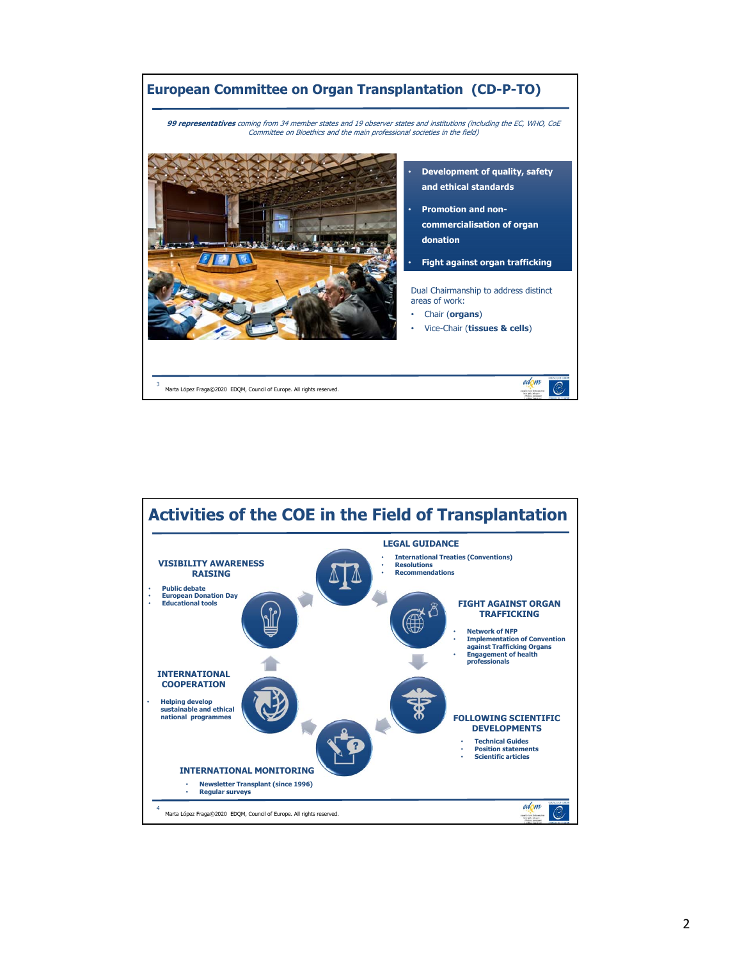

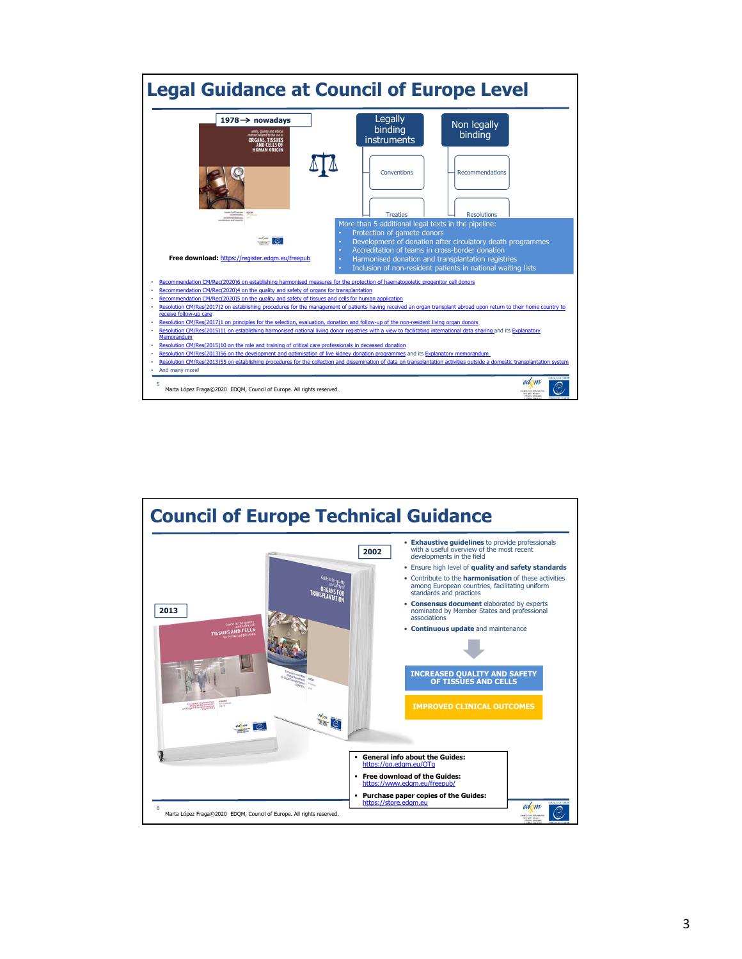

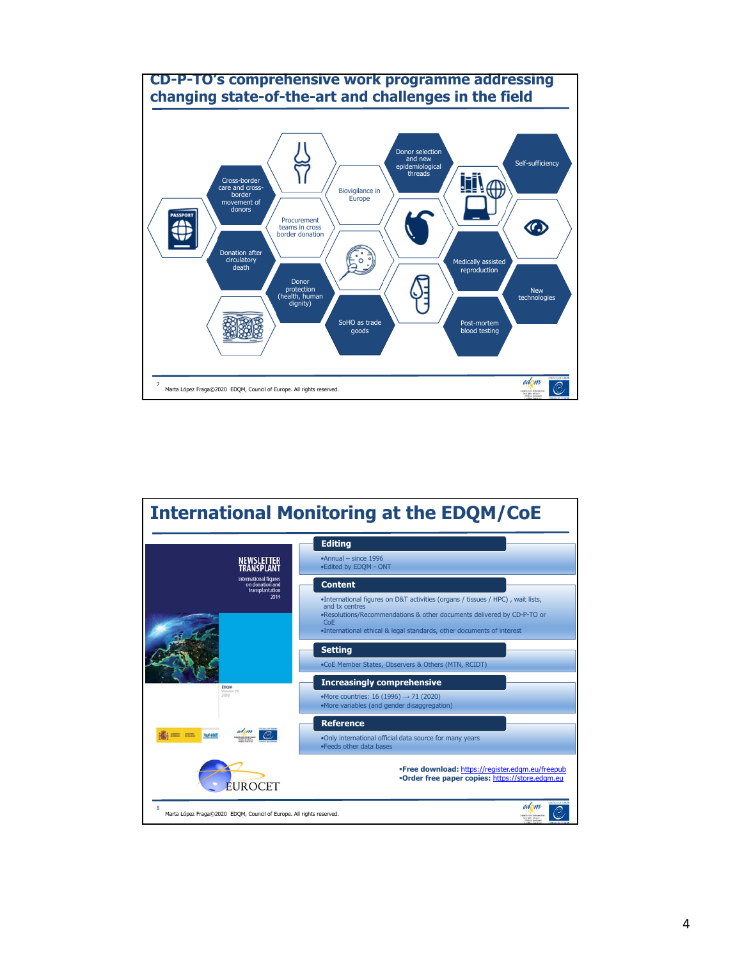

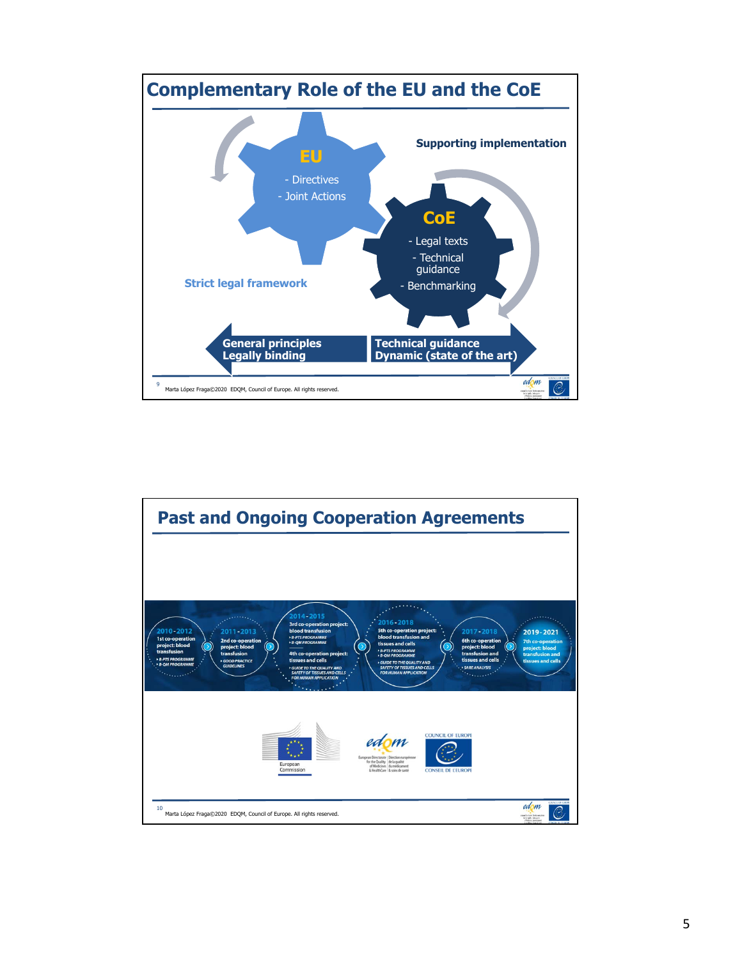

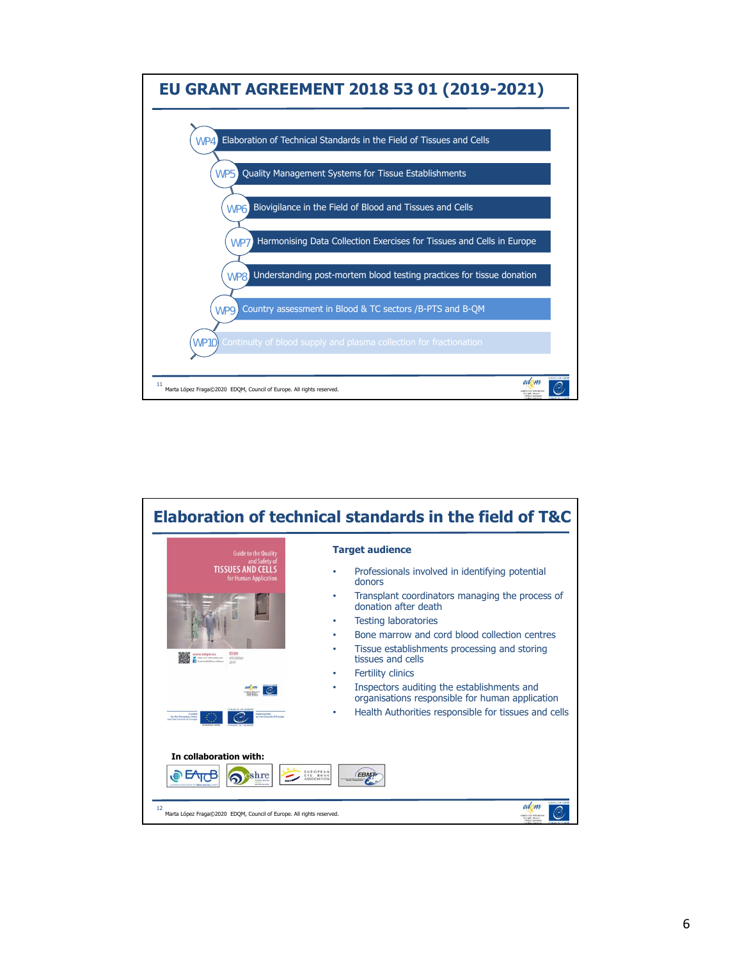

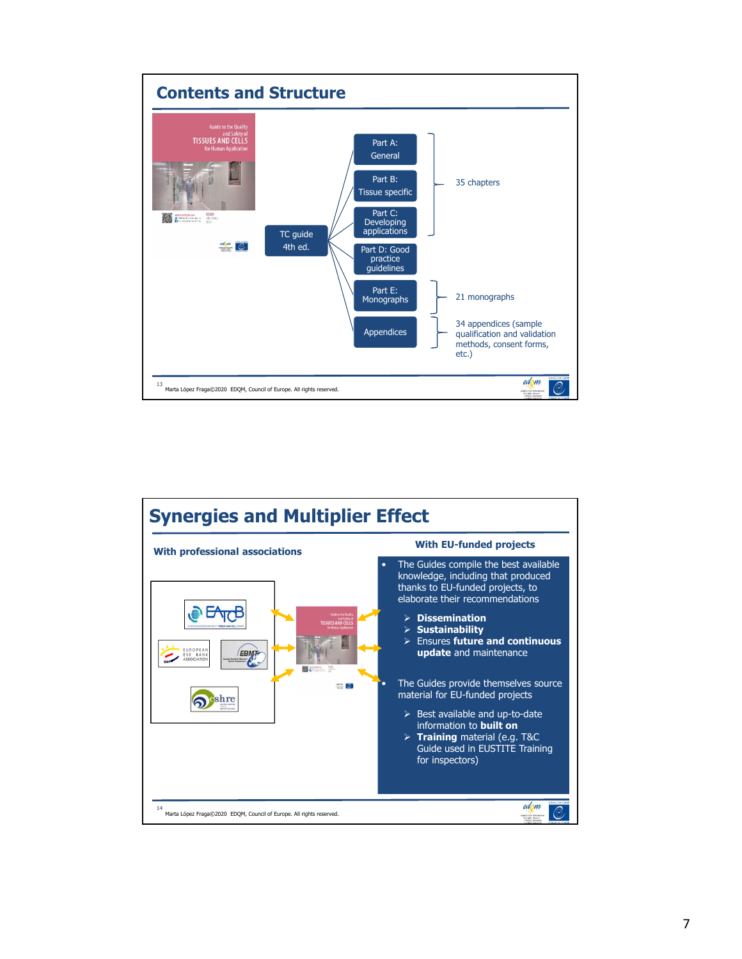

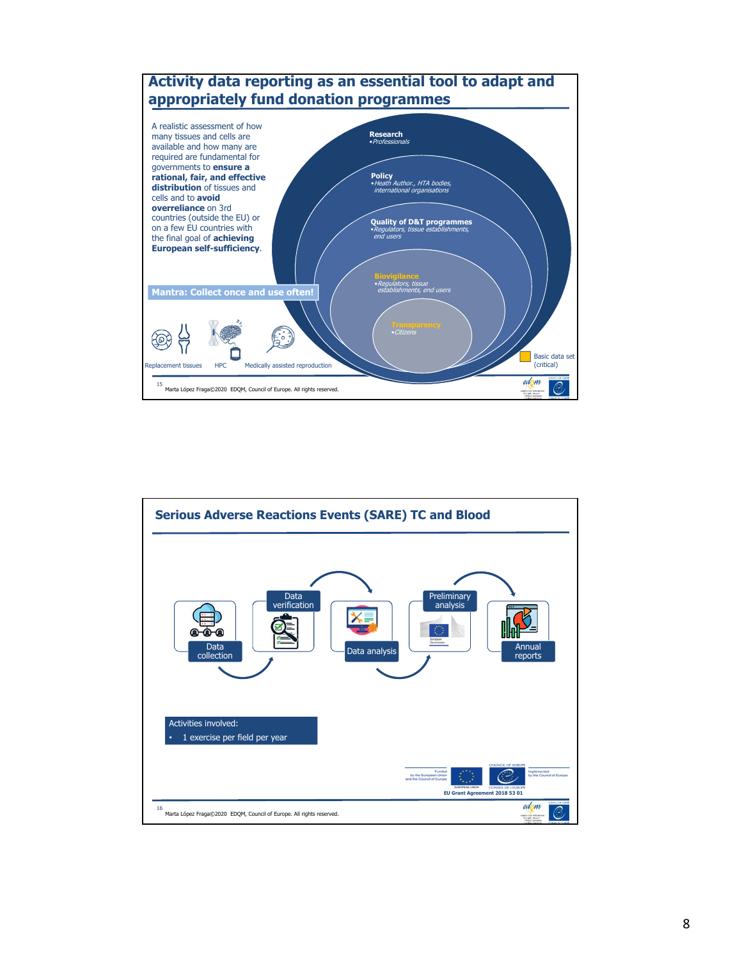

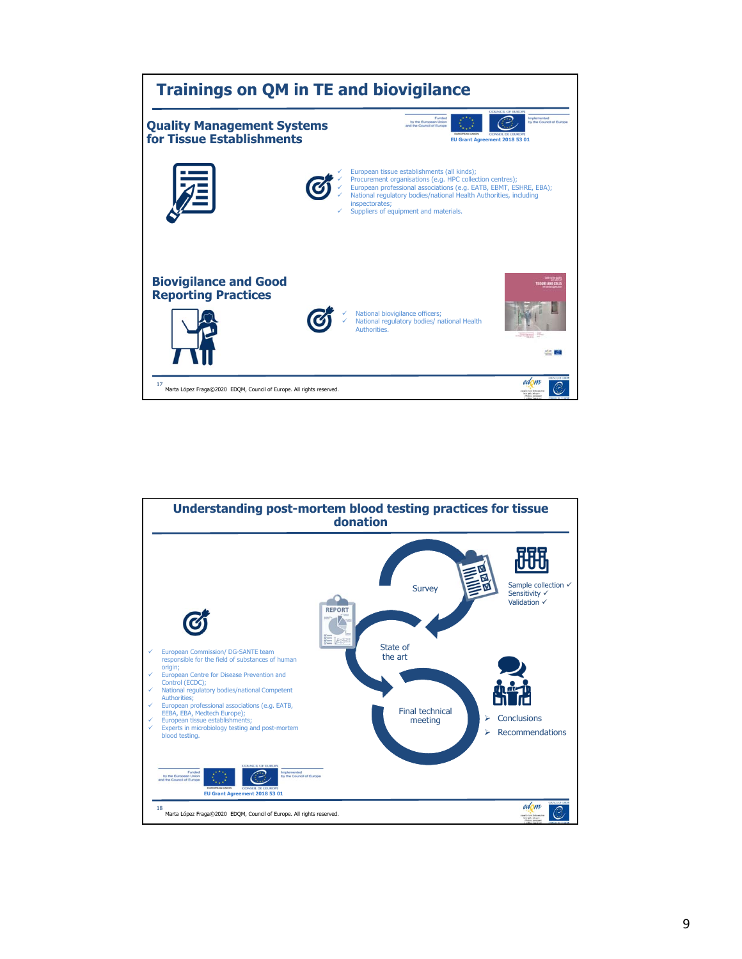